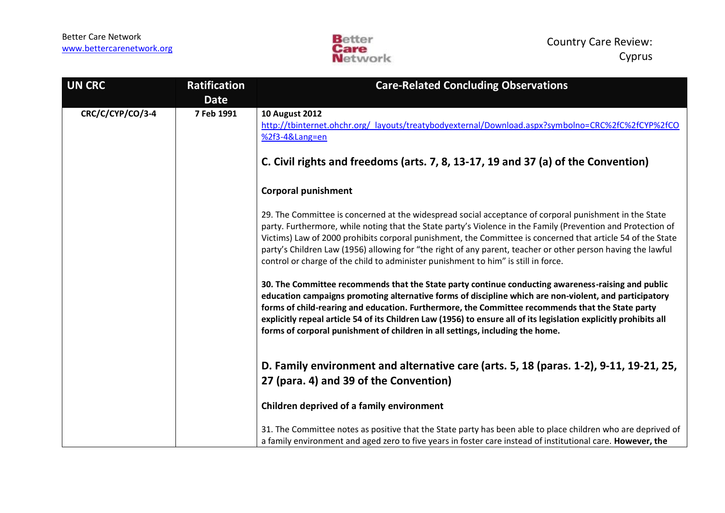

| <b>UN CRC</b>    | <b>Ratification</b><br><b>Date</b> | <b>Care-Related Concluding Observations</b>                                                                                                                                                                                                                                                                                                                                                                                                                                                                                                 |
|------------------|------------------------------------|---------------------------------------------------------------------------------------------------------------------------------------------------------------------------------------------------------------------------------------------------------------------------------------------------------------------------------------------------------------------------------------------------------------------------------------------------------------------------------------------------------------------------------------------|
| CRC/C/CYP/CO/3-4 | 7 Feb 1991                         | <b>10 August 2012</b><br>http://tbinternet.ohchr.org/ layouts/treatybodyexternal/Download.aspx?symbolno=CRC%2fC%2fCYP%2fCO<br>%2f3-4⟪=en                                                                                                                                                                                                                                                                                                                                                                                                    |
|                  |                                    | C. Civil rights and freedoms (arts. 7, 8, 13-17, 19 and 37 (a) of the Convention)                                                                                                                                                                                                                                                                                                                                                                                                                                                           |
|                  |                                    | <b>Corporal punishment</b>                                                                                                                                                                                                                                                                                                                                                                                                                                                                                                                  |
|                  |                                    | 29. The Committee is concerned at the widespread social acceptance of corporal punishment in the State<br>party. Furthermore, while noting that the State party's Violence in the Family (Prevention and Protection of<br>Victims) Law of 2000 prohibits corporal punishment, the Committee is concerned that article 54 of the State<br>party's Children Law (1956) allowing for "the right of any parent, teacher or other person having the lawful<br>control or charge of the child to administer punishment to him" is still in force. |
|                  |                                    | 30. The Committee recommends that the State party continue conducting awareness-raising and public<br>education campaigns promoting alternative forms of discipline which are non-violent, and participatory<br>forms of child-rearing and education. Furthermore, the Committee recommends that the State party<br>explicitly repeal article 54 of its Children Law (1956) to ensure all of its legislation explicitly prohibits all<br>forms of corporal punishment of children in all settings, including the home.                      |
|                  |                                    | D. Family environment and alternative care (arts. 5, 18 (paras. 1-2), 9-11, 19-21, 25,<br>27 (para. 4) and 39 of the Convention)                                                                                                                                                                                                                                                                                                                                                                                                            |
|                  |                                    | Children deprived of a family environment                                                                                                                                                                                                                                                                                                                                                                                                                                                                                                   |
|                  |                                    | 31. The Committee notes as positive that the State party has been able to place children who are deprived of<br>a family environment and aged zero to five years in foster care instead of institutional care. However, the                                                                                                                                                                                                                                                                                                                 |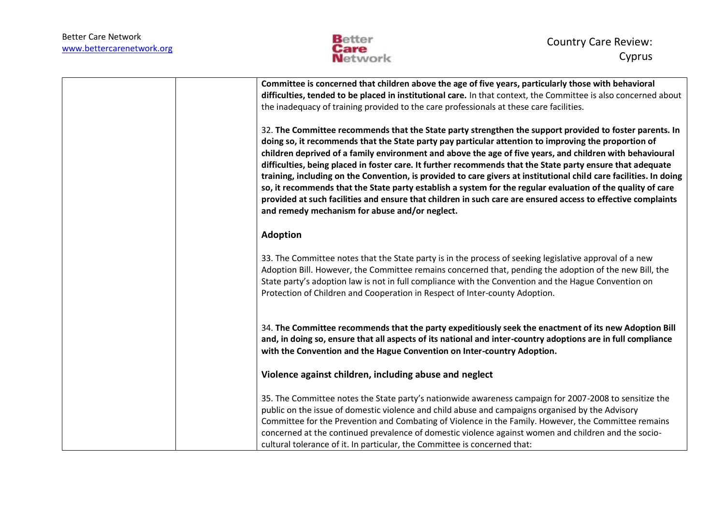

| Committee is concerned that children above the age of five years, particularly those with behavioral<br>difficulties, tended to be placed in institutional care. In that context, the Committee is also concerned about<br>the inadequacy of training provided to the care professionals at these care facilities.                                                                                                                                                                                                                                                                                                                                                                                                                                                                                                                               |
|--------------------------------------------------------------------------------------------------------------------------------------------------------------------------------------------------------------------------------------------------------------------------------------------------------------------------------------------------------------------------------------------------------------------------------------------------------------------------------------------------------------------------------------------------------------------------------------------------------------------------------------------------------------------------------------------------------------------------------------------------------------------------------------------------------------------------------------------------|
| 32. The Committee recommends that the State party strengthen the support provided to foster parents. In<br>doing so, it recommends that the State party pay particular attention to improving the proportion of<br>children deprived of a family environment and above the age of five years, and children with behavioural<br>difficulties, being placed in foster care. It further recommends that the State party ensure that adequate<br>training, including on the Convention, is provided to care givers at institutional child care facilities. In doing<br>so, it recommends that the State party establish a system for the regular evaluation of the quality of care<br>provided at such facilities and ensure that children in such care are ensured access to effective complaints<br>and remedy mechanism for abuse and/or neglect. |
| <b>Adoption</b>                                                                                                                                                                                                                                                                                                                                                                                                                                                                                                                                                                                                                                                                                                                                                                                                                                  |
| 33. The Committee notes that the State party is in the process of seeking legislative approval of a new<br>Adoption Bill. However, the Committee remains concerned that, pending the adoption of the new Bill, the<br>State party's adoption law is not in full compliance with the Convention and the Hague Convention on<br>Protection of Children and Cooperation in Respect of Inter-county Adoption.                                                                                                                                                                                                                                                                                                                                                                                                                                        |
| 34. The Committee recommends that the party expeditiously seek the enactment of its new Adoption Bill<br>and, in doing so, ensure that all aspects of its national and inter-country adoptions are in full compliance<br>with the Convention and the Hague Convention on Inter-country Adoption.                                                                                                                                                                                                                                                                                                                                                                                                                                                                                                                                                 |
| Violence against children, including abuse and neglect                                                                                                                                                                                                                                                                                                                                                                                                                                                                                                                                                                                                                                                                                                                                                                                           |
| 35. The Committee notes the State party's nationwide awareness campaign for 2007-2008 to sensitize the<br>public on the issue of domestic violence and child abuse and campaigns organised by the Advisory<br>Committee for the Prevention and Combating of Violence in the Family. However, the Committee remains<br>concerned at the continued prevalence of domestic violence against women and children and the socio-<br>cultural tolerance of it. In particular, the Committee is concerned that:                                                                                                                                                                                                                                                                                                                                          |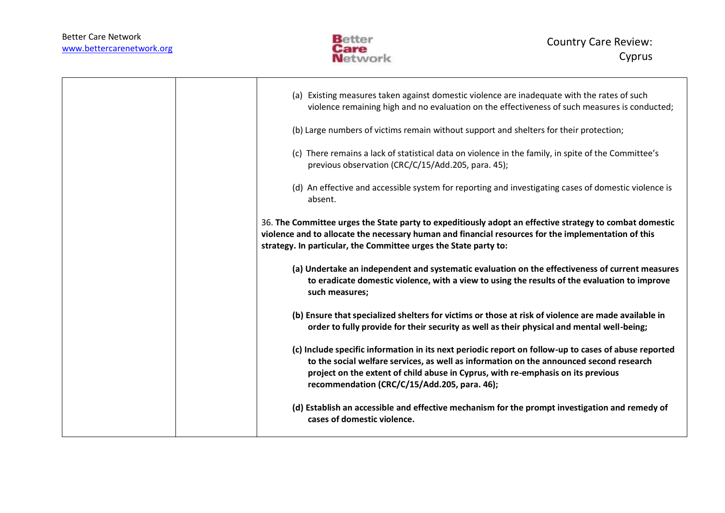

|  | (a) Existing measures taken against domestic violence are inadequate with the rates of such<br>violence remaining high and no evaluation on the effectiveness of such measures is conducted;                                                                                                                                        |
|--|-------------------------------------------------------------------------------------------------------------------------------------------------------------------------------------------------------------------------------------------------------------------------------------------------------------------------------------|
|  | (b) Large numbers of victims remain without support and shelters for their protection;                                                                                                                                                                                                                                              |
|  | (c) There remains a lack of statistical data on violence in the family, in spite of the Committee's<br>previous observation (CRC/C/15/Add.205, para. 45);                                                                                                                                                                           |
|  | (d) An effective and accessible system for reporting and investigating cases of domestic violence is<br>absent.                                                                                                                                                                                                                     |
|  | 36. The Committee urges the State party to expeditiously adopt an effective strategy to combat domestic<br>violence and to allocate the necessary human and financial resources for the implementation of this<br>strategy. In particular, the Committee urges the State party to:                                                  |
|  | (a) Undertake an independent and systematic evaluation on the effectiveness of current measures<br>to eradicate domestic violence, with a view to using the results of the evaluation to improve<br>such measures;                                                                                                                  |
|  | (b) Ensure that specialized shelters for victims or those at risk of violence are made available in<br>order to fully provide for their security as well as their physical and mental well-being;                                                                                                                                   |
|  | (c) Include specific information in its next periodic report on follow-up to cases of abuse reported<br>to the social welfare services, as well as information on the announced second research<br>project on the extent of child abuse in Cyprus, with re-emphasis on its previous<br>recommendation (CRC/C/15/Add.205, para. 46); |
|  | (d) Establish an accessible and effective mechanism for the prompt investigation and remedy of<br>cases of domestic violence.                                                                                                                                                                                                       |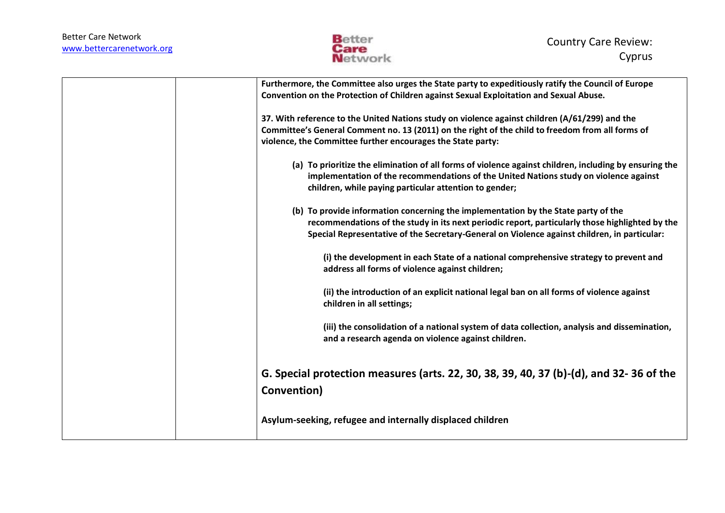

| Furthermore, the Committee also urges the State party to expeditiously ratify the Council of Europe<br>Convention on the Protection of Children against Sexual Exploitation and Sexual Abuse.                                                                                         |
|---------------------------------------------------------------------------------------------------------------------------------------------------------------------------------------------------------------------------------------------------------------------------------------|
| 37. With reference to the United Nations study on violence against children (A/61/299) and the<br>Committee's General Comment no. 13 (2011) on the right of the child to freedom from all forms of<br>violence, the Committee further encourages the State party:                     |
| (a) To prioritize the elimination of all forms of violence against children, including by ensuring the<br>implementation of the recommendations of the United Nations study on violence against<br>children, while paying particular attention to gender;                             |
| (b) To provide information concerning the implementation by the State party of the<br>recommendations of the study in its next periodic report, particularly those highlighted by the<br>Special Representative of the Secretary-General on Violence against children, in particular: |
| (i) the development in each State of a national comprehensive strategy to prevent and<br>address all forms of violence against children;                                                                                                                                              |
| (ii) the introduction of an explicit national legal ban on all forms of violence against<br>children in all settings;                                                                                                                                                                 |
| (iii) the consolidation of a national system of data collection, analysis and dissemination,<br>and a research agenda on violence against children.                                                                                                                                   |
| G. Special protection measures (arts. 22, 30, 38, 39, 40, 37 (b)-(d), and 32-36 of the<br>Convention)                                                                                                                                                                                 |
| Asylum-seeking, refugee and internally displaced children                                                                                                                                                                                                                             |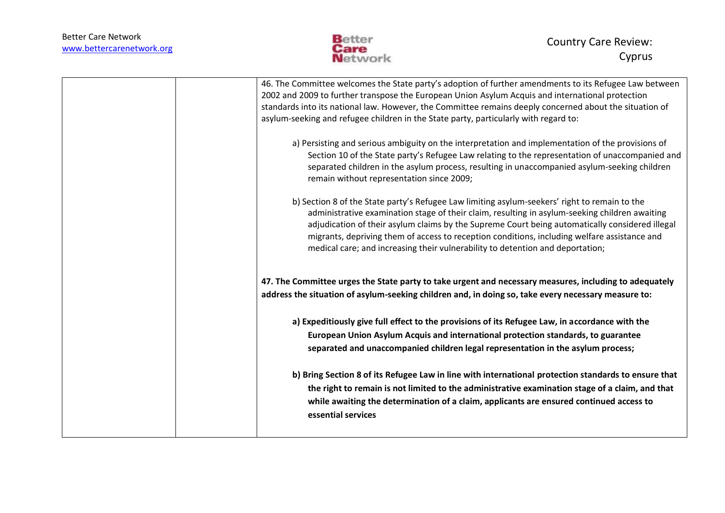

| 46. The Committee welcomes the State party's adoption of further amendments to its Refugee Law between<br>2002 and 2009 to further transpose the European Union Asylum Acquis and international protection<br>standards into its national law. However, the Committee remains deeply concerned about the situation of<br>asylum-seeking and refugee children in the State party, particularly with regard to:                                                                        |
|--------------------------------------------------------------------------------------------------------------------------------------------------------------------------------------------------------------------------------------------------------------------------------------------------------------------------------------------------------------------------------------------------------------------------------------------------------------------------------------|
| a) Persisting and serious ambiguity on the interpretation and implementation of the provisions of<br>Section 10 of the State party's Refugee Law relating to the representation of unaccompanied and<br>separated children in the asylum process, resulting in unaccompanied asylum-seeking children<br>remain without representation since 2009;                                                                                                                                    |
| b) Section 8 of the State party's Refugee Law limiting asylum-seekers' right to remain to the<br>administrative examination stage of their claim, resulting in asylum-seeking children awaiting<br>adjudication of their asylum claims by the Supreme Court being automatically considered illegal<br>migrants, depriving them of access to reception conditions, including welfare assistance and<br>medical care; and increasing their vulnerability to detention and deportation; |
| 47. The Committee urges the State party to take urgent and necessary measures, including to adequately<br>address the situation of asylum-seeking children and, in doing so, take every necessary measure to:                                                                                                                                                                                                                                                                        |
| a) Expeditiously give full effect to the provisions of its Refugee Law, in accordance with the<br>European Union Asylum Acquis and international protection standards, to guarantee<br>separated and unaccompanied children legal representation in the asylum process;                                                                                                                                                                                                              |
| b) Bring Section 8 of its Refugee Law in line with international protection standards to ensure that<br>the right to remain is not limited to the administrative examination stage of a claim, and that<br>while awaiting the determination of a claim, applicants are ensured continued access to<br>essential services                                                                                                                                                             |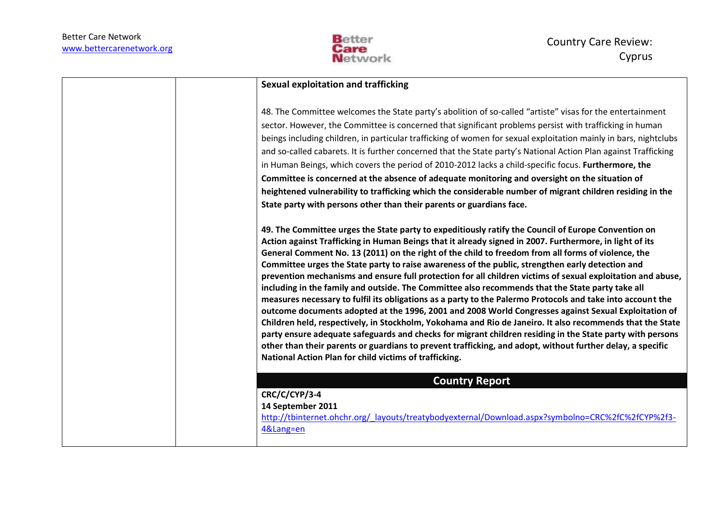

## **Sexual exploitation and trafficking**

48. The Committee welcomes the State party's abolition of so-called "artiste" visas for the entertainment sector. However, the Committee is concerned that significant problems persist with trafficking in human beings including children, in particular trafficking of women for sexual exploitation mainly in bars, nightclubs and so-called cabarets. It is further concerned that the State party's National Action Plan against Trafficking in Human Beings, which covers the period of 2010-2012 lacks a child-specific focus. **Furthermore, the Committee is concerned at the absence of adequate monitoring and oversight on the situation of heightened vulnerability to trafficking which the considerable number of migrant children residing in the State party with persons other than their parents or guardians face.** 

**49. The Committee urges the State party to expeditiously ratify the Council of Europe Convention on Action against Trafficking in Human Beings that it already signed in 2007. Furthermore, in light of its General Comment No. 13 (2011) on the right of the child to freedom from all forms of violence, the Committee urges the State party to raise awareness of the public, strengthen early detection and prevention mechanisms and ensure full protection for all children victims of sexual exploitation and abuse, including in the family and outside. The Committee also recommends that the State party take all measures necessary to fulfil its obligations as a party to the Palermo Protocols and take into account the outcome documents adopted at the 1996, 2001 and 2008 World Congresses against Sexual Exploitation of Children held, respectively, in Stockholm, Yokohama and Rio de Janeiro. It also recommends that the State party ensure adequate safeguards and checks for migrant children residing in the State party with persons other than their parents or guardians to prevent trafficking, and adopt, without further delay, a specific National Action Plan for child victims of trafficking.** 

## **Country Report**

**CRC/C/CYP/3-4**

**14 September 2011**

[http://tbinternet.ohchr.org/\\_layouts/treatybodyexternal/Download.aspx?symbolno=CRC%2fC%2fCYP%2f3-](http://tbinternet.ohchr.org/_layouts/treatybodyexternal/Download.aspx?symbolno=CRC%2fC%2fCYP%2f3-4&Lang=en) [4&Lang=en](http://tbinternet.ohchr.org/_layouts/treatybodyexternal/Download.aspx?symbolno=CRC%2fC%2fCYP%2f3-4&Lang=en)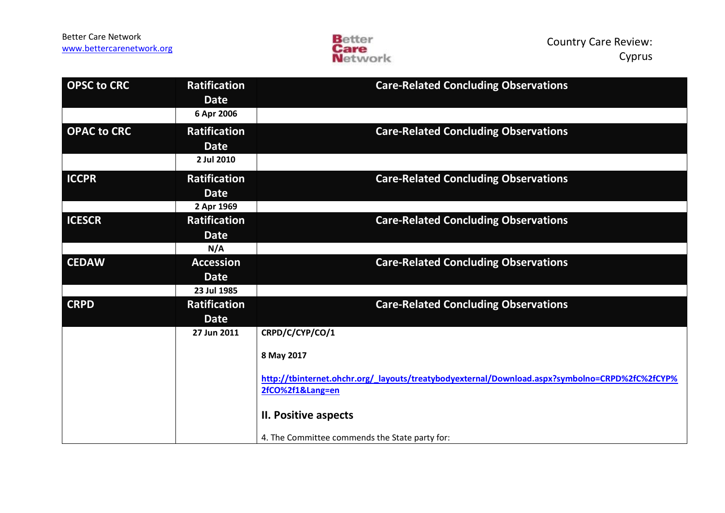

| <b>OPSC to CRC</b> | <b>Ratification</b><br><b>Date</b> | <b>Care-Related Concluding Observations</b>                                                    |
|--------------------|------------------------------------|------------------------------------------------------------------------------------------------|
|                    | 6 Apr 2006                         |                                                                                                |
| <b>OPAC to CRC</b> | <b>Ratification</b>                | <b>Care-Related Concluding Observations</b>                                                    |
|                    | <b>Date</b>                        |                                                                                                |
|                    | 2 Jul 2010                         |                                                                                                |
| <b>ICCPR</b>       | <b>Ratification</b>                | <b>Care-Related Concluding Observations</b>                                                    |
|                    | <b>Date</b>                        |                                                                                                |
|                    | 2 Apr 1969                         |                                                                                                |
| <b>ICESCR</b>      | <b>Ratification</b>                | <b>Care-Related Concluding Observations</b>                                                    |
|                    | <b>Date</b>                        |                                                                                                |
|                    | N/A                                |                                                                                                |
| <b>CEDAW</b>       | <b>Accession</b>                   | <b>Care-Related Concluding Observations</b>                                                    |
|                    | <b>Date</b>                        |                                                                                                |
|                    | 23 Jul 1985                        |                                                                                                |
| <b>CRPD</b>        | <b>Ratification</b>                | <b>Care-Related Concluding Observations</b>                                                    |
|                    | <b>Date</b>                        |                                                                                                |
|                    | 27 Jun 2011                        | CRPD/C/CYP/CO/1                                                                                |
|                    |                                    | 8 May 2017                                                                                     |
|                    |                                    | http://tbinternet.ohchr.org/ layouts/treatybodyexternal/Download.aspx?symbolno=CRPD%2fC%2fCYP% |
|                    |                                    | 2fCO%2f1⟪=en                                                                                   |
|                    |                                    | II. Positive aspects                                                                           |
|                    |                                    | 4. The Committee commends the State party for:                                                 |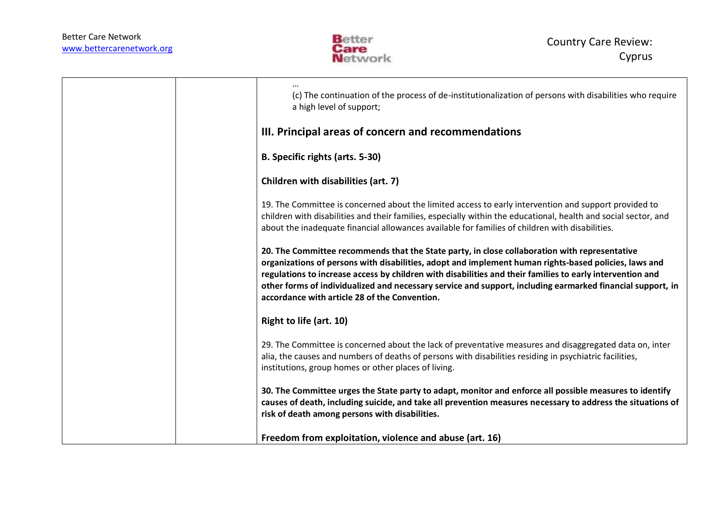

| (c) The continuation of the process of de-institutionalization of persons with disabilities who require<br>a high level of support;                                                                                                                                                                                                                                                                                                                                                |
|------------------------------------------------------------------------------------------------------------------------------------------------------------------------------------------------------------------------------------------------------------------------------------------------------------------------------------------------------------------------------------------------------------------------------------------------------------------------------------|
| III. Principal areas of concern and recommendations                                                                                                                                                                                                                                                                                                                                                                                                                                |
| B. Specific rights (arts. 5-30)                                                                                                                                                                                                                                                                                                                                                                                                                                                    |
| Children with disabilities (art. 7)                                                                                                                                                                                                                                                                                                                                                                                                                                                |
| 19. The Committee is concerned about the limited access to early intervention and support provided to<br>children with disabilities and their families, especially within the educational, health and social sector, and<br>about the inadequate financial allowances available for families of children with disabilities.                                                                                                                                                        |
| 20. The Committee recommends that the State party, in close collaboration with representative<br>organizations of persons with disabilities, adopt and implement human rights-based policies, laws and<br>regulations to increase access by children with disabilities and their families to early intervention and<br>other forms of individualized and necessary service and support, including earmarked financial support, in<br>accordance with article 28 of the Convention. |
| Right to life (art. 10)                                                                                                                                                                                                                                                                                                                                                                                                                                                            |
| 29. The Committee is concerned about the lack of preventative measures and disaggregated data on, inter<br>alia, the causes and numbers of deaths of persons with disabilities residing in psychiatric facilities,<br>institutions, group homes or other places of living.                                                                                                                                                                                                         |
| 30. The Committee urges the State party to adapt, monitor and enforce all possible measures to identify<br>causes of death, including suicide, and take all prevention measures necessary to address the situations of<br>risk of death among persons with disabilities.                                                                                                                                                                                                           |
| Freedom from exploitation, violence and abuse (art. 16)                                                                                                                                                                                                                                                                                                                                                                                                                            |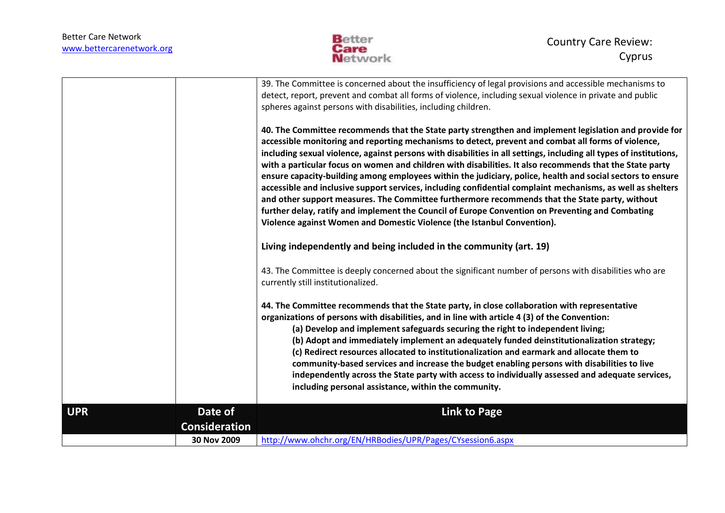

|            |                      | 39. The Committee is concerned about the insufficiency of legal provisions and accessible mechanisms to                                                                                                                                                                                                                                                                                                                                                                                                                                                                                                                                                                                                                                                                                                                                                                                                                                                       |
|------------|----------------------|---------------------------------------------------------------------------------------------------------------------------------------------------------------------------------------------------------------------------------------------------------------------------------------------------------------------------------------------------------------------------------------------------------------------------------------------------------------------------------------------------------------------------------------------------------------------------------------------------------------------------------------------------------------------------------------------------------------------------------------------------------------------------------------------------------------------------------------------------------------------------------------------------------------------------------------------------------------|
|            |                      | detect, report, prevent and combat all forms of violence, including sexual violence in private and public                                                                                                                                                                                                                                                                                                                                                                                                                                                                                                                                                                                                                                                                                                                                                                                                                                                     |
|            |                      | spheres against persons with disabilities, including children.                                                                                                                                                                                                                                                                                                                                                                                                                                                                                                                                                                                                                                                                                                                                                                                                                                                                                                |
|            |                      | 40. The Committee recommends that the State party strengthen and implement legislation and provide for<br>accessible monitoring and reporting mechanisms to detect, prevent and combat all forms of violence,<br>including sexual violence, against persons with disabilities in all settings, including all types of institutions,<br>with a particular focus on women and children with disabilities. It also recommends that the State party<br>ensure capacity-building among employees within the judiciary, police, health and social sectors to ensure<br>accessible and inclusive support services, including confidential complaint mechanisms, as well as shelters<br>and other support measures. The Committee furthermore recommends that the State party, without<br>further delay, ratify and implement the Council of Europe Convention on Preventing and Combating<br>Violence against Women and Domestic Violence (the Istanbul Convention). |
|            |                      | Living independently and being included in the community (art. 19)                                                                                                                                                                                                                                                                                                                                                                                                                                                                                                                                                                                                                                                                                                                                                                                                                                                                                            |
|            |                      | 43. The Committee is deeply concerned about the significant number of persons with disabilities who are<br>currently still institutionalized.                                                                                                                                                                                                                                                                                                                                                                                                                                                                                                                                                                                                                                                                                                                                                                                                                 |
|            |                      | 44. The Committee recommends that the State party, in close collaboration with representative<br>organizations of persons with disabilities, and in line with article 4 (3) of the Convention:<br>(a) Develop and implement safeguards securing the right to independent living;<br>(b) Adopt and immediately implement an adequately funded deinstitutionalization strategy;<br>(c) Redirect resources allocated to institutionalization and earmark and allocate them to<br>community-based services and increase the budget enabling persons with disabilities to live<br>independently across the State party with access to individually assessed and adequate services,<br>including personal assistance, within the community.                                                                                                                                                                                                                         |
| <b>UPR</b> | Date of              | <b>Link to Page</b>                                                                                                                                                                                                                                                                                                                                                                                                                                                                                                                                                                                                                                                                                                                                                                                                                                                                                                                                           |
|            |                      |                                                                                                                                                                                                                                                                                                                                                                                                                                                                                                                                                                                                                                                                                                                                                                                                                                                                                                                                                               |
|            | <b>Consideration</b> |                                                                                                                                                                                                                                                                                                                                                                                                                                                                                                                                                                                                                                                                                                                                                                                                                                                                                                                                                               |
|            | 30 Nov 2009          | http://www.ohchr.org/EN/HRBodies/UPR/Pages/CYsession6.aspx                                                                                                                                                                                                                                                                                                                                                                                                                                                                                                                                                                                                                                                                                                                                                                                                                                                                                                    |